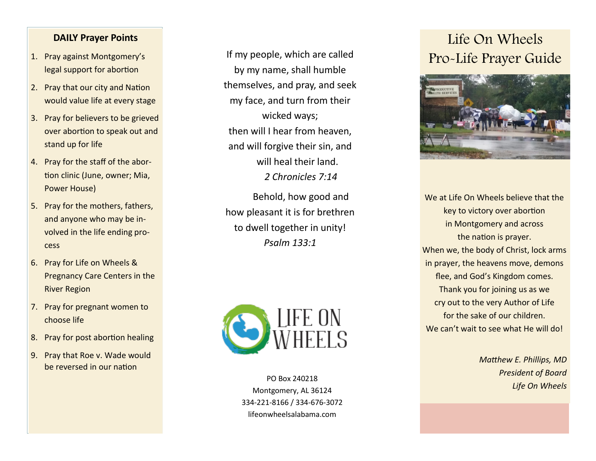### **DAILY Prayer Points**

- 1. Pray against Montgomery 's legal support for abortion
- 2. Pray that our city and Nation would value life at every stage
- 3. Pray for believers to be grieved over abortion to speak out and stand up for life
- 4. Pray for the staff of the abortion clinic (June, owner; Mia, Power House)
- 5. Pray for the mothers, fathers, and anyone who may be involved in the life ending process
- 6. Pray for Life on Wheels & Pregnancy Care Centers in the River Region
- 7. Pray for pregnant women to choose life
- 8. Pray for post abortion healing
- 9. Pray that Roe v. Wade would be reversed in our nation

If my people, which are called by my name, shall humble themselves, and pray, and seek my face, and turn from their wicked ways; then will I hear from heaven, and will forgive their sin, and will heal their land. *2 Chronicles 7:14*

Behold, how good and how pleasant it is for brethren to dwell together in unity! *Psalm 133:1*



PO Box 240218 Montgomery, AL 36124 334 -221 -8166 / 334 -676 -3072 lifeonwheelsalabama.com

# Life On Wheels Pro -Life Prayer Guide



We at Life On Wheels believe that the key to victory over abortion in Montgomery and across the nation is prayer. When we, the body of Christ, lock arms in prayer, the heavens move, demons flee, and God 's Kingdom comes. Thank you for joining us as we cry out to the very Author of Life for the sake of our children. We can 't wait to see what He will do!

> *Matthew E. Phillips, MD President of Board Life On Wheels*